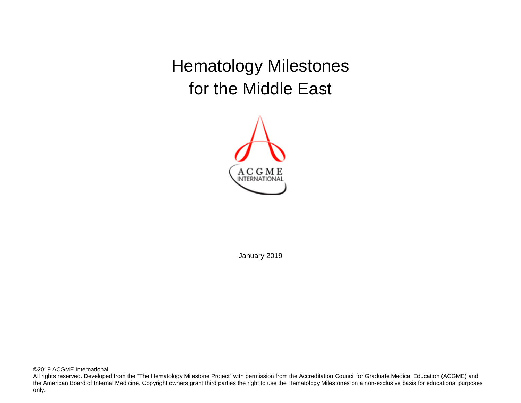Hematology Milestones for the Middle East



January 2019

©2019 ACGME International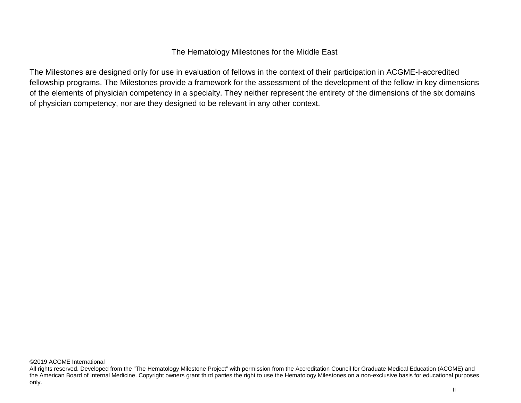## The Hematology Milestones for the Middle East

The Milestones are designed only for use in evaluation of fellows in the context of their participation in ACGME-I-accredited fellowship programs. The Milestones provide a framework for the assessment of the development of the fellow in key dimensions of the elements of physician competency in a specialty. They neither represent the entirety of the dimensions of the six domains of physician competency, nor are they designed to be relevant in any other context.

All rights reserved. Developed from the "The Hematology Milestone Project" with permission from the Accreditation Council for Graduate Medical Education (ACGME) and the American Board of Internal Medicine. Copyright owners grant third parties the right to use the Hematology Milestones on a non-exclusive basis for educational purposes only.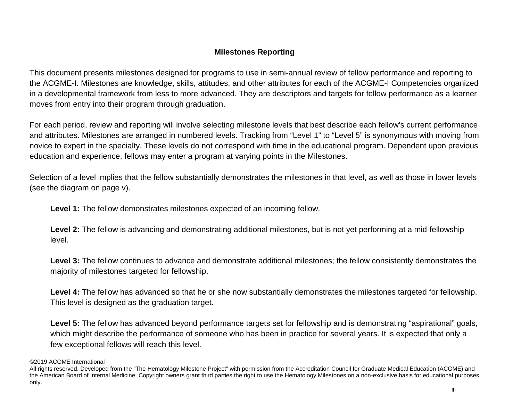# **Milestones Reporting**

This document presents milestones designed for programs to use in semi-annual review of fellow performance and reporting to the ACGME-I. Milestones are knowledge, skills, attitudes, and other attributes for each of the ACGME-I Competencies organized in a developmental framework from less to more advanced. They are descriptors and targets for fellow performance as a learner moves from entry into their program through graduation.

For each period, review and reporting will involve selecting milestone levels that best describe each fellow's current performance and attributes. Milestones are arranged in numbered levels. Tracking from "Level 1" to "Level 5" is synonymous with moving from novice to expert in the specialty. These levels do not correspond with time in the educational program. Dependent upon previous education and experience, fellows may enter a program at varying points in the Milestones.

Selection of a level implies that the fellow substantially demonstrates the milestones in that level, as well as those in lower levels (see the diagram on page v).

**Level 1:** The fellow demonstrates milestones expected of an incoming fellow.

Level 2: The fellow is advancing and demonstrating additional milestones, but is not yet performing at a mid-fellowship level.

**Level 3:** The fellow continues to advance and demonstrate additional milestones; the fellow consistently demonstrates the majority of milestones targeted for fellowship.

Level 4: The fellow has advanced so that he or she now substantially demonstrates the milestones targeted for fellowship. This level is designed as the graduation target.

Level 5: The fellow has advanced beyond performance targets set for fellowship and is demonstrating "aspirational" goals, which might describe the performance of someone who has been in practice for several years. It is expected that only a few exceptional fellows will reach this level.

<sup>©2019</sup> ACGME International

All rights reserved. Developed from the "The Hematology Milestone Project" with permission from the Accreditation Council for Graduate Medical Education (ACGME) and the American Board of Internal Medicine. Copyright owners grant third parties the right to use the Hematology Milestones on a non-exclusive basis for educational purposes only.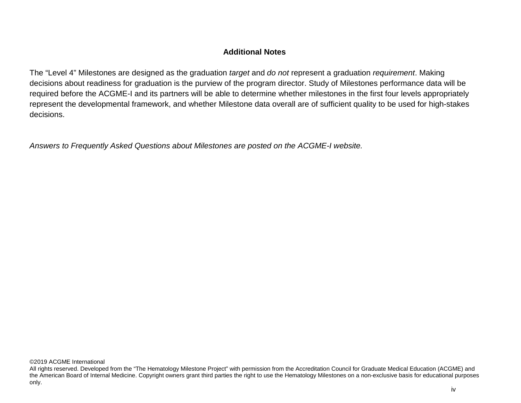## **Additional Notes**

The "Level 4" Milestones are designed as the graduation *target* and *do not* represent a graduation *requirement*. Making decisions about readiness for graduation is the purview of the program director. Study of Milestones performance data will be required before the ACGME-I and its partners will be able to determine whether milestones in the first four levels appropriately represent the developmental framework, and whether Milestone data overall are of sufficient quality to be used for high-stakes decisions.

*Answers to Frequently Asked Questions about Milestones are posted on the ACGME-I website.*

All rights reserved. Developed from the "The Hematology Milestone Project" with permission from the Accreditation Council for Graduate Medical Education (ACGME) and the American Board of Internal Medicine. Copyright owners grant third parties the right to use the Hematology Milestones on a non-exclusive basis for educational purposes only.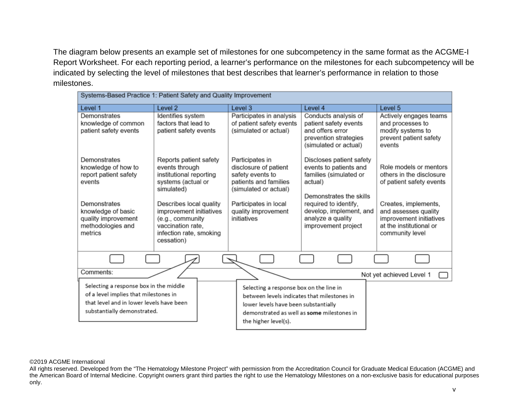The diagram below presents an example set of milestones for one subcompetency in the same format as the ACGME-I Report Worksheet. For each reporting period, a learner's performance on the milestones for each subcompetency will be indicated by selecting the level of milestones that best describes that learner's performance in relation to those milestones.

| Systems-Based Practice 1: Patient Safety and Quality Improvement                                                                                           |                                                                                                                                      |                                                                                                                                                                                                      |                                                                                                                    |                                                                                                                       |
|------------------------------------------------------------------------------------------------------------------------------------------------------------|--------------------------------------------------------------------------------------------------------------------------------------|------------------------------------------------------------------------------------------------------------------------------------------------------------------------------------------------------|--------------------------------------------------------------------------------------------------------------------|-----------------------------------------------------------------------------------------------------------------------|
| Level 1                                                                                                                                                    | Level <sub>2</sub>                                                                                                                   | Level 3                                                                                                                                                                                              | Level 4                                                                                                            | Level 5                                                                                                               |
| Demonstrates                                                                                                                                               | Identifies system                                                                                                                    | Participates in analysis                                                                                                                                                                             | Conducts analysis of                                                                                               | Actively engages teams                                                                                                |
| knowledge of common<br>patient safety events                                                                                                               | factors that lead to<br>patient safety events                                                                                        | of patient safety events<br>(simulated or actual)                                                                                                                                                    | patient safety events<br>and offers error<br>prevention strategies<br>(simulated or actual)                        | and processes to<br>modify systems to<br>prevent patient safety<br>events                                             |
| Demonstrates<br>knowledge of how to<br>report patient safety<br>events                                                                                     | Reports patient safety<br>events through<br>institutional reporting<br>systems (actual or<br>simulated)                              | Participates in<br>disclosure of patient<br>safety events to<br>patients and families<br>(simulated or actual)                                                                                       | Discloses patient safety<br>events to patients and<br>families (simulated or<br>actual)<br>Demonstrates the skills | Role models or mentors<br>others in the disclosure<br>of patient safety events                                        |
| Demonstrates<br>knowledge of basic<br>quality improvement<br>methodologies and<br>metrics                                                                  | Describes local quality<br>improvement initiatives<br>(e.g., community<br>vaccination rate,<br>infection rate, smoking<br>cessation) | Participates in local<br>quality improvement<br>initiatives                                                                                                                                          | required to identify,<br>develop, implement, and<br>analyze a quality<br>improvement project                       | Creates, implements,<br>and assesses quality<br>improvement initiatives<br>at the institutional or<br>community level |
|                                                                                                                                                            |                                                                                                                                      |                                                                                                                                                                                                      |                                                                                                                    |                                                                                                                       |
| Comments:                                                                                                                                                  |                                                                                                                                      |                                                                                                                                                                                                      |                                                                                                                    | Not yet achieved Level 1                                                                                              |
| Selecting a response box in the middle<br>of a level implies that milestones in<br>that level and in lower levels have been<br>substantially demonstrated. |                                                                                                                                      | Selecting a response box on the line in<br>between levels indicates that milestones in<br>lower levels have been substantially<br>demonstrated as well as some milestones in<br>the higher level(s). |                                                                                                                    |                                                                                                                       |

#### ©2019 ACGME International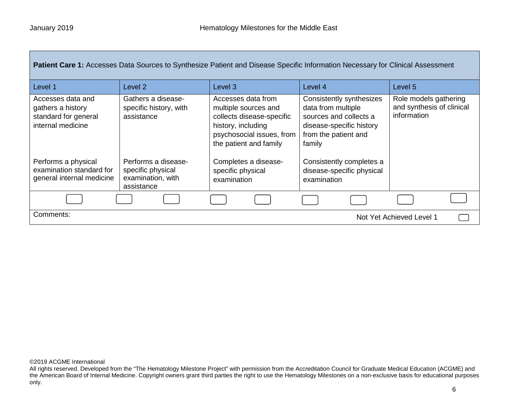| Patient Care 1: Accesses Data Sources to Synthesize Patient and Disease Specific Information Necessary for Clinical Assessment |                                                                             |                                                                                                                                                      |                                                                                                                                        |                                                                   |
|--------------------------------------------------------------------------------------------------------------------------------|-----------------------------------------------------------------------------|------------------------------------------------------------------------------------------------------------------------------------------------------|----------------------------------------------------------------------------------------------------------------------------------------|-------------------------------------------------------------------|
| Level 1                                                                                                                        | Level 2                                                                     | Level <sub>3</sub>                                                                                                                                   | Level 4                                                                                                                                | Level 5                                                           |
| Accesses data and<br>gathers a history<br>standard for general<br>internal medicine                                            | Gathers a disease-<br>specific history, with<br>assistance                  | Accesses data from<br>multiple sources and<br>collects disease-specific<br>history, including<br>psychosocial issues, from<br>the patient and family | Consistently synthesizes<br>data from multiple<br>sources and collects a<br>disease-specific history<br>from the patient and<br>family | Role models gathering<br>and synthesis of clinical<br>information |
| Performs a physical<br>examination standard for<br>general internal medicine                                                   | Performs a disease-<br>specific physical<br>examination, with<br>assistance | Completes a disease-<br>specific physical<br>examination                                                                                             | Consistently completes a<br>disease-specific physical<br>examination                                                                   |                                                                   |
|                                                                                                                                |                                                                             |                                                                                                                                                      |                                                                                                                                        |                                                                   |
| Comments:<br>Not Yet Achieved Level 1                                                                                          |                                                                             |                                                                                                                                                      |                                                                                                                                        |                                                                   |

All rights reserved. Developed from the "The Hematology Milestone Project" with permission from the Accreditation Council for Graduate Medical Education (ACGME) and the American Board of Internal Medicine. Copyright owners grant third parties the right to use the Hematology Milestones on a non-exclusive basis for educational purposes only.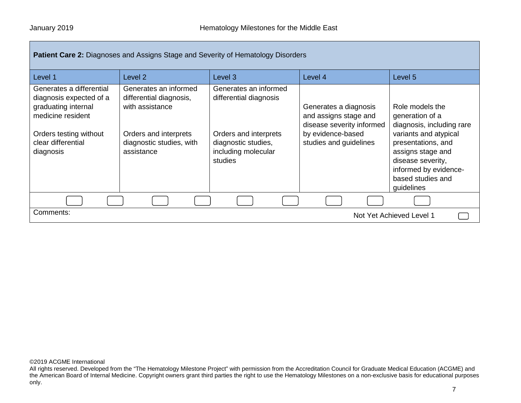| <b>Patient Care 2: Diagnoses and Assigns Stage and Severity of Hematology Disorders</b>                                                                      |                                                                                                                                        |                                                                                                                                   |                                                                                                                            |                                                                                                                                                                                                                      |
|--------------------------------------------------------------------------------------------------------------------------------------------------------------|----------------------------------------------------------------------------------------------------------------------------------------|-----------------------------------------------------------------------------------------------------------------------------------|----------------------------------------------------------------------------------------------------------------------------|----------------------------------------------------------------------------------------------------------------------------------------------------------------------------------------------------------------------|
| Level 1                                                                                                                                                      | Level 2                                                                                                                                | Level 3                                                                                                                           | Level 4                                                                                                                    | Level 5                                                                                                                                                                                                              |
| Generates a differential<br>diagnosis expected of a<br>graduating internal<br>medicine resident<br>Orders testing without<br>clear differential<br>diagnosis | Generates an informed<br>differential diagnosis,<br>with assistance<br>Orders and interprets<br>diagnostic studies, with<br>assistance | Generates an informed<br>differential diagnosis<br>Orders and interprets<br>diagnostic studies,<br>including molecular<br>studies | Generates a diagnosis<br>and assigns stage and<br>disease severity informed<br>by evidence-based<br>studies and guidelines | Role models the<br>generation of a<br>diagnosis, including rare<br>variants and atypical<br>presentations, and<br>assigns stage and<br>disease severity,<br>informed by evidence-<br>based studies and<br>guidelines |
|                                                                                                                                                              |                                                                                                                                        |                                                                                                                                   |                                                                                                                            |                                                                                                                                                                                                                      |
| Comments:<br>Not Yet Achieved Level 1                                                                                                                        |                                                                                                                                        |                                                                                                                                   |                                                                                                                            |                                                                                                                                                                                                                      |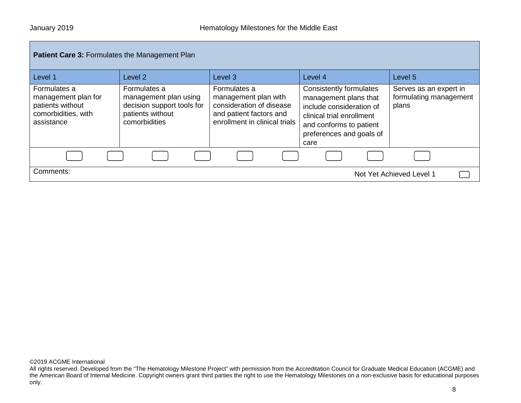| <b>Patient Care 3: Formulates the Management Plan</b>                                        |                                                                                                          |                                                                                                                              |                                                                                                                                                                          |                                                           |
|----------------------------------------------------------------------------------------------|----------------------------------------------------------------------------------------------------------|------------------------------------------------------------------------------------------------------------------------------|--------------------------------------------------------------------------------------------------------------------------------------------------------------------------|-----------------------------------------------------------|
| Level 1                                                                                      | Level 2                                                                                                  | Level <sub>3</sub>                                                                                                           | Level 4                                                                                                                                                                  | Level 5                                                   |
| Formulates a<br>management plan for<br>patients without<br>comorbidities, with<br>assistance | Formulates a<br>management plan using<br>decision support tools for<br>patients without<br>comorbidities | Formulates a<br>management plan with<br>consideration of disease<br>and patient factors and<br>enrollment in clinical trials | Consistently formulates<br>management plans that<br>include consideration of<br>clinical trial enrollment<br>and conforms to patient<br>preferences and goals of<br>care | Serves as an expert in<br>formulating management<br>plans |
|                                                                                              |                                                                                                          |                                                                                                                              |                                                                                                                                                                          |                                                           |
| Comments:                                                                                    |                                                                                                          |                                                                                                                              |                                                                                                                                                                          | Not Yet Achieved Level 1                                  |

All rights reserved. Developed from the "The Hematology Milestone Project" with permission from the Accreditation Council for Graduate Medical Education (ACGME) and the American Board of Internal Medicine. Copyright owners grant third parties the right to use the Hematology Milestones on a non-exclusive basis for educational purposes only.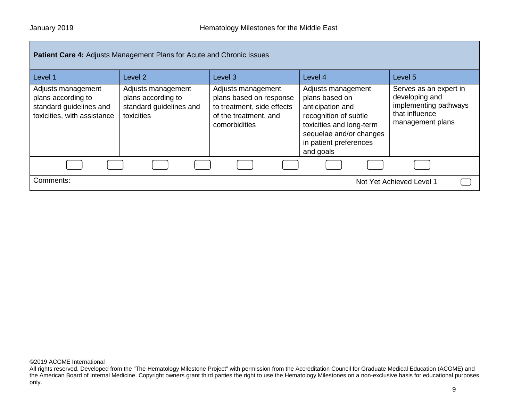| <b>Patient Care 4: Adjusts Management Plans for Acute and Chronic Issues</b>                       |                                                                                   |                                                                                                                       |                                                                                                                                                                                 |                                                                                                         |
|----------------------------------------------------------------------------------------------------|-----------------------------------------------------------------------------------|-----------------------------------------------------------------------------------------------------------------------|---------------------------------------------------------------------------------------------------------------------------------------------------------------------------------|---------------------------------------------------------------------------------------------------------|
| Level 1                                                                                            | Level 2                                                                           | Level 3                                                                                                               | Level 4                                                                                                                                                                         | Level 5                                                                                                 |
| Adjusts management<br>plans according to<br>standard guidelines and<br>toxicities, with assistance | Adjusts management<br>plans according to<br>standard guidelines and<br>toxicities | Adjusts management<br>plans based on response<br>to treatment, side effects<br>of the treatment, and<br>comorbidities | Adjusts management<br>plans based on<br>anticipation and<br>recognition of subtle<br>toxicities and long-term<br>sequelae and/or changes<br>in patient preferences<br>and goals | Serves as an expert in<br>developing and<br>implementing pathways<br>that influence<br>management plans |
|                                                                                                    |                                                                                   |                                                                                                                       |                                                                                                                                                                                 |                                                                                                         |
| Comments:                                                                                          | Not Yet Achieved Level 1                                                          |                                                                                                                       |                                                                                                                                                                                 |                                                                                                         |

All rights reserved. Developed from the "The Hematology Milestone Project" with permission from the Accreditation Council for Graduate Medical Education (ACGME) and the American Board of Internal Medicine. Copyright owners grant third parties the right to use the Hematology Milestones on a non-exclusive basis for educational purposes only.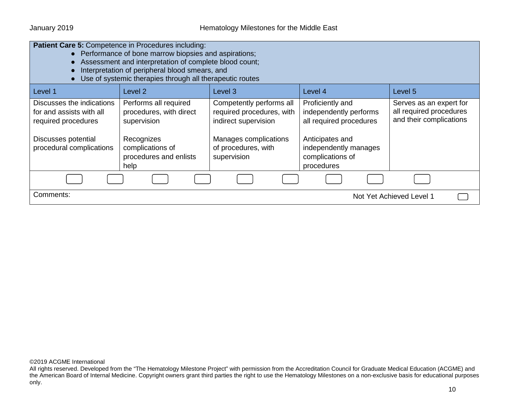| <b>Patient Care 5: Competence in Procedures including:</b><br>• Performance of bone marrow biopsies and aspirations;<br>Assessment and interpretation of complete blood count;<br>Interpretation of peripheral blood smears, and<br>Use of systemic therapies through all therapeutic routes |                                                                                                                                     |                                                                                                                                              |                                                                                                                                                     |                                                                               |
|----------------------------------------------------------------------------------------------------------------------------------------------------------------------------------------------------------------------------------------------------------------------------------------------|-------------------------------------------------------------------------------------------------------------------------------------|----------------------------------------------------------------------------------------------------------------------------------------------|-----------------------------------------------------------------------------------------------------------------------------------------------------|-------------------------------------------------------------------------------|
| Level 1                                                                                                                                                                                                                                                                                      | Level 2                                                                                                                             | Level 3                                                                                                                                      | Level 4                                                                                                                                             | Level 5                                                                       |
| Discusses the indications<br>for and assists with all<br>required procedures<br>Discusses potential<br>procedural complications                                                                                                                                                              | Performs all required<br>procedures, with direct<br>supervision<br>Recognizes<br>complications of<br>procedures and enlists<br>help | Competently performs all<br>required procedures, with<br>indirect supervision<br>Manages complications<br>of procedures, with<br>supervision | Proficiently and<br>independently performs<br>all required procedures<br>Anticipates and<br>independently manages<br>complications of<br>procedures | Serves as an expert for<br>all required procedures<br>and their complications |
|                                                                                                                                                                                                                                                                                              |                                                                                                                                     |                                                                                                                                              |                                                                                                                                                     |                                                                               |
| Comments:<br>Not Yet Achieved Level 1                                                                                                                                                                                                                                                        |                                                                                                                                     |                                                                                                                                              |                                                                                                                                                     |                                                                               |

All rights reserved. Developed from the "The Hematology Milestone Project" with permission from the Accreditation Council for Graduate Medical Education (ACGME) and the American Board of Internal Medicine. Copyright owners grant third parties the right to use the Hematology Milestones on a non-exclusive basis for educational purposes only.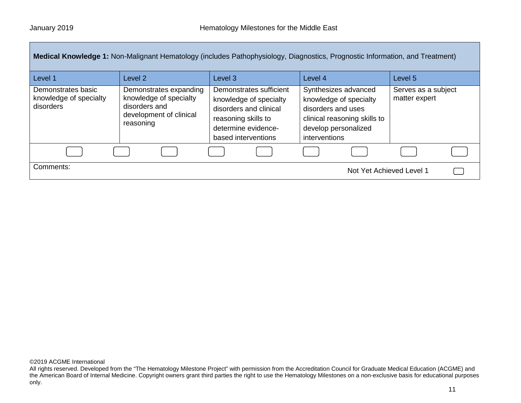| <b>Medical Knowledge 1:</b> Non-Malignant Hematology (includes Pathophysiology, Diagnostics, Prognostic Information, and Treatment) |                                                                                                           |                                                                                                                                                  |                                                                                                                                               |                                      |
|-------------------------------------------------------------------------------------------------------------------------------------|-----------------------------------------------------------------------------------------------------------|--------------------------------------------------------------------------------------------------------------------------------------------------|-----------------------------------------------------------------------------------------------------------------------------------------------|--------------------------------------|
| Level 1                                                                                                                             | Level 2                                                                                                   | Level <sub>3</sub>                                                                                                                               | Level 4                                                                                                                                       | Level 5                              |
| Demonstrates basic<br>knowledge of specialty<br>disorders                                                                           | Demonstrates expanding<br>knowledge of specialty<br>disorders and<br>development of clinical<br>reasoning | Demonstrates sufficient<br>knowledge of specialty<br>disorders and clinical<br>reasoning skills to<br>determine evidence-<br>based interventions | Synthesizes advanced<br>knowledge of specialty<br>disorders and uses<br>clinical reasoning skills to<br>develop personalized<br>interventions | Serves as a subject<br>matter expert |
|                                                                                                                                     |                                                                                                           |                                                                                                                                                  |                                                                                                                                               |                                      |
| Comments:                                                                                                                           |                                                                                                           |                                                                                                                                                  | Not Yet Achieved Level 1                                                                                                                      |                                      |

All rights reserved. Developed from the "The Hematology Milestone Project" with permission from the Accreditation Council for Graduate Medical Education (ACGME) and the American Board of Internal Medicine. Copyright owners grant third parties the right to use the Hematology Milestones on a non-exclusive basis for educational purposes only.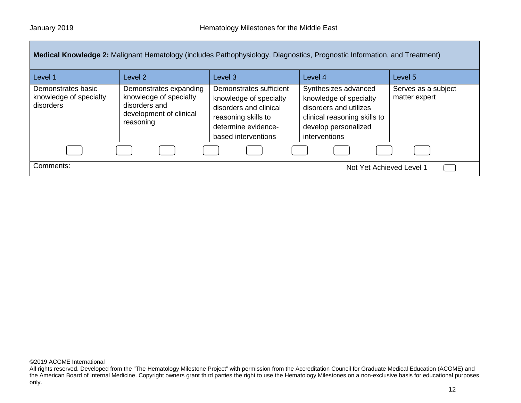|                                                           |                                                                                                           |                                                                                                                                                  | Medical Knowledge 2: Malignant Hematology (includes Pathophysiology, Diagnostics, Prognostic Information, and Treatment)                          |                                      |
|-----------------------------------------------------------|-----------------------------------------------------------------------------------------------------------|--------------------------------------------------------------------------------------------------------------------------------------------------|---------------------------------------------------------------------------------------------------------------------------------------------------|--------------------------------------|
| Level 1                                                   | Level <sub>2</sub>                                                                                        | Level 3                                                                                                                                          | Level 4                                                                                                                                           | Level 5                              |
| Demonstrates basic<br>knowledge of specialty<br>disorders | Demonstrates expanding<br>knowledge of specialty<br>disorders and<br>development of clinical<br>reasoning | Demonstrates sufficient<br>knowledge of specialty<br>disorders and clinical<br>reasoning skills to<br>determine evidence-<br>based interventions | Synthesizes advanced<br>knowledge of specialty<br>disorders and utilizes<br>clinical reasoning skills to<br>develop personalized<br>interventions | Serves as a subject<br>matter expert |
|                                                           |                                                                                                           |                                                                                                                                                  |                                                                                                                                                   |                                      |
| Comments:                                                 |                                                                                                           |                                                                                                                                                  | Not Yet Achieved Level 1                                                                                                                          |                                      |

All rights reserved. Developed from the "The Hematology Milestone Project" with permission from the Accreditation Council for Graduate Medical Education (ACGME) and the American Board of Internal Medicine. Copyright owners grant third parties the right to use the Hematology Milestones on a non-exclusive basis for educational purposes only.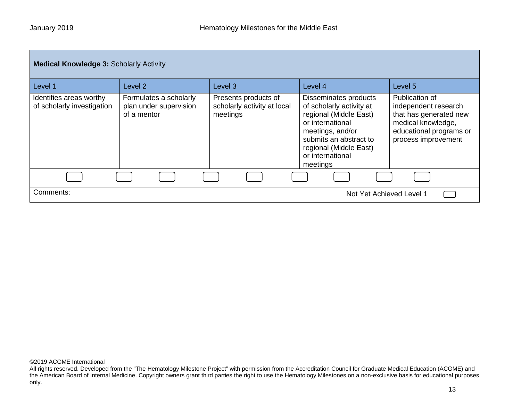| <b>Medical Knowledge 3: Scholarly Activity</b>        |                                                                 |                                                                 |                                                                                                                                                                                                         |                                                                                                                                          |  |
|-------------------------------------------------------|-----------------------------------------------------------------|-----------------------------------------------------------------|---------------------------------------------------------------------------------------------------------------------------------------------------------------------------------------------------------|------------------------------------------------------------------------------------------------------------------------------------------|--|
| Level 1                                               | Level 2                                                         | Level <sub>3</sub>                                              | Level 4                                                                                                                                                                                                 | Level <sub>5</sub>                                                                                                                       |  |
| Identifies areas worthy<br>of scholarly investigation | Formulates a scholarly<br>plan under supervision<br>of a mentor | Presents products of<br>scholarly activity at local<br>meetings | Disseminates products<br>of scholarly activity at<br>regional (Middle East)<br>or international<br>meetings, and/or<br>submits an abstract to<br>regional (Middle East)<br>or international<br>meetings | Publication of<br>independent research<br>that has generated new<br>medical knowledge,<br>educational programs or<br>process improvement |  |
|                                                       |                                                                 |                                                                 |                                                                                                                                                                                                         |                                                                                                                                          |  |
| Comments:                                             |                                                                 |                                                                 | Not Yet Achieved Level 1                                                                                                                                                                                |                                                                                                                                          |  |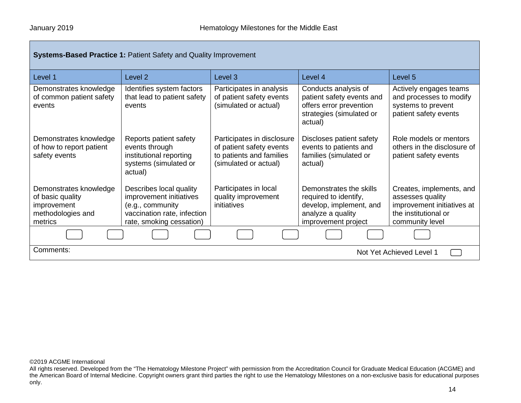| <b>Systems-Based Practice 1: Patient Safety and Quality Improvement</b>                   |                                                                                                                                   |                                                                                                             |                                                                                                                         |                                                                                                                       |  |
|-------------------------------------------------------------------------------------------|-----------------------------------------------------------------------------------------------------------------------------------|-------------------------------------------------------------------------------------------------------------|-------------------------------------------------------------------------------------------------------------------------|-----------------------------------------------------------------------------------------------------------------------|--|
| Level 1                                                                                   | Level 2                                                                                                                           | Level 3                                                                                                     | Level 4                                                                                                                 | Level 5                                                                                                               |  |
| Demonstrates knowledge<br>of common patient safety<br>events                              | Identifies system factors<br>that lead to patient safety<br>events                                                                | Participates in analysis<br>of patient safety events<br>(simulated or actual)                               | Conducts analysis of<br>patient safety events and<br>offers error prevention<br>strategies (simulated or<br>actual)     | Actively engages teams<br>and processes to modify<br>systems to prevent<br>patient safety events                      |  |
| Demonstrates knowledge<br>of how to report patient<br>safety events                       | Reports patient safety<br>events through<br>institutional reporting<br>systems (simulated or<br>actual)                           | Participates in disclosure<br>of patient safety events<br>to patients and families<br>(simulated or actual) | Discloses patient safety<br>events to patients and<br>families (simulated or<br>actual)                                 | Role models or mentors<br>others in the disclosure of<br>patient safety events                                        |  |
| Demonstrates knowledge<br>of basic quality<br>improvement<br>methodologies and<br>metrics | Describes local quality<br>improvement initiatives<br>(e.g., community<br>vaccination rate, infection<br>rate, smoking cessation) | Participates in local<br>quality improvement<br>initiatives                                                 | Demonstrates the skills<br>required to identify,<br>develop, implement, and<br>analyze a quality<br>improvement project | Creates, implements, and<br>assesses quality<br>improvement initiatives at<br>the institutional or<br>community level |  |
|                                                                                           |                                                                                                                                   |                                                                                                             |                                                                                                                         |                                                                                                                       |  |
| Comments:<br>Not Yet Achieved Level 1                                                     |                                                                                                                                   |                                                                                                             |                                                                                                                         |                                                                                                                       |  |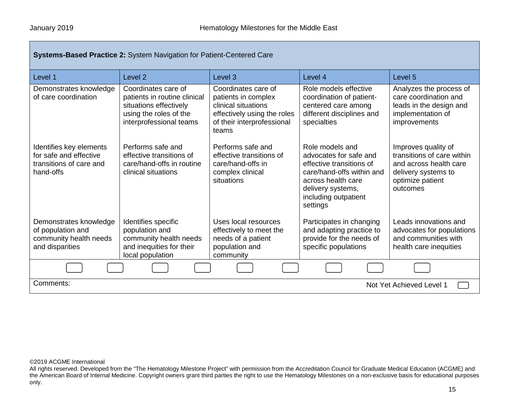| <b>Systems-Based Practice 2: System Navigation for Patient-Centered Care</b>              |                                                                                                                                    |                                                                                                                                         |                                                                                                                                                                                   |                                                                                                                                    |
|-------------------------------------------------------------------------------------------|------------------------------------------------------------------------------------------------------------------------------------|-----------------------------------------------------------------------------------------------------------------------------------------|-----------------------------------------------------------------------------------------------------------------------------------------------------------------------------------|------------------------------------------------------------------------------------------------------------------------------------|
| Level 1                                                                                   | Level <sub>2</sub>                                                                                                                 | Level 3                                                                                                                                 | Level 4                                                                                                                                                                           | Level 5                                                                                                                            |
| Demonstrates knowledge<br>of care coordination                                            | Coordinates care of<br>patients in routine clinical<br>situations effectively<br>using the roles of the<br>interprofessional teams | Coordinates care of<br>patients in complex<br>clinical situations<br>effectively using the roles<br>of their interprofessional<br>teams | Role models effective<br>coordination of patient-<br>centered care among<br>different disciplines and<br>specialties                                                              | Analyzes the process of<br>care coordination and<br>leads in the design and<br>implementation of<br>improvements                   |
| Identifies key elements<br>for safe and effective<br>transitions of care and<br>hand-offs | Performs safe and<br>effective transitions of<br>care/hand-offs in routine<br>clinical situations                                  | Performs safe and<br>effective transitions of<br>care/hand-offs in<br>complex clinical<br>situations                                    | Role models and<br>advocates for safe and<br>effective transitions of<br>care/hand-offs within and<br>across health care<br>delivery systems,<br>including outpatient<br>settings | Improves quality of<br>transitions of care within<br>and across health care<br>delivery systems to<br>optimize patient<br>outcomes |
| Demonstrates knowledge<br>of population and<br>community health needs<br>and disparities  | Identifies specific<br>population and<br>community health needs<br>and inequities for their<br>local population                    | Uses local resources<br>effectively to meet the<br>needs of a patient<br>population and<br>community                                    | Participates in changing<br>and adapting practice to<br>provide for the needs of<br>specific populations                                                                          | Leads innovations and<br>advocates for populations<br>and communities with<br>health care inequities                               |
|                                                                                           |                                                                                                                                    |                                                                                                                                         |                                                                                                                                                                                   |                                                                                                                                    |
| Comments:<br>Not Yet Achieved Level 1                                                     |                                                                                                                                    |                                                                                                                                         |                                                                                                                                                                                   |                                                                                                                                    |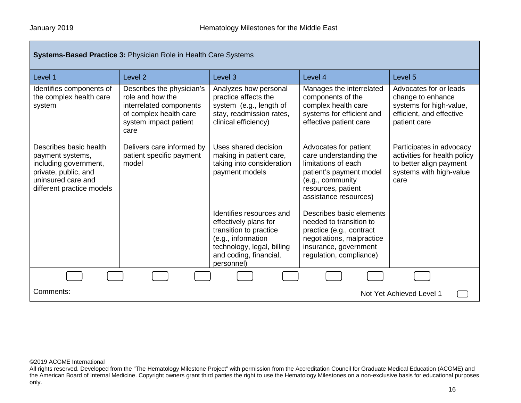| <b>Systems-Based Practice 3: Physician Role in Health Care Systems</b>                                                                         |                                                                                                                                     |                                                                                                                                                                         |                                                                                                                                                                      |                                                                                                                        |
|------------------------------------------------------------------------------------------------------------------------------------------------|-------------------------------------------------------------------------------------------------------------------------------------|-------------------------------------------------------------------------------------------------------------------------------------------------------------------------|----------------------------------------------------------------------------------------------------------------------------------------------------------------------|------------------------------------------------------------------------------------------------------------------------|
| Level 1                                                                                                                                        | Level <sub>2</sub>                                                                                                                  | Level 3                                                                                                                                                                 | Level 4                                                                                                                                                              | Level 5                                                                                                                |
| Identifies components of<br>the complex health care<br>system                                                                                  | Describes the physician's<br>role and how the<br>interrelated components<br>of complex health care<br>system impact patient<br>care | Analyzes how personal<br>practice affects the<br>system (e.g., length of<br>stay, readmission rates,<br>clinical efficiency)                                            | Manages the interrelated<br>components of the<br>complex health care<br>systems for efficient and<br>effective patient care                                          | Advocates for or leads<br>change to enhance<br>systems for high-value,<br>efficient, and effective<br>patient care     |
| Describes basic health<br>payment systems,<br>including government,<br>private, public, and<br>uninsured care and<br>different practice models | Delivers care informed by<br>patient specific payment<br>model                                                                      | Uses shared decision<br>making in patient care,<br>taking into consideration<br>payment models                                                                          | Advocates for patient<br>care understanding the<br>limitations of each<br>patient's payment model<br>(e.g., community<br>resources, patient<br>assistance resources) | Participates in advocacy<br>activities for health policy<br>to better align payment<br>systems with high-value<br>care |
|                                                                                                                                                |                                                                                                                                     | Identifies resources and<br>effectively plans for<br>transition to practice<br>(e.g., information<br>technology, legal, billing<br>and coding, financial,<br>personnel) | Describes basic elements<br>needed to transition to<br>practice (e.g., contract<br>negotiations, malpractice<br>insurance, government<br>regulation, compliance)     |                                                                                                                        |
|                                                                                                                                                |                                                                                                                                     |                                                                                                                                                                         |                                                                                                                                                                      |                                                                                                                        |
| Comments:<br>Not Yet Achieved Level 1                                                                                                          |                                                                                                                                     |                                                                                                                                                                         |                                                                                                                                                                      |                                                                                                                        |

All rights reserved. Developed from the "The Hematology Milestone Project" with permission from the Accreditation Council for Graduate Medical Education (ACGME) and the American Board of Internal Medicine. Copyright owners grant third parties the right to use the Hematology Milestones on a non-exclusive basis for educational purposes only.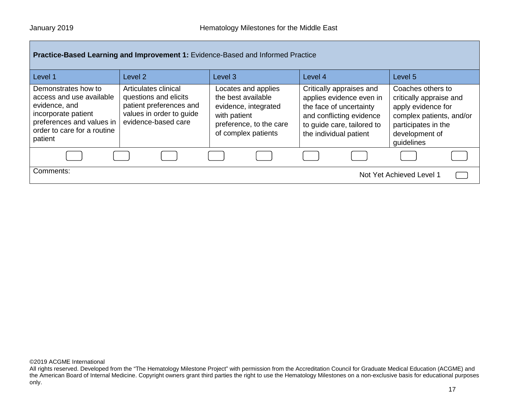| Practice-Based Learning and Improvement 1: Evidence-Based and Informed Practice                                                                                |                                                                                                                             |                                                                                                                                     |                                                                                                                                                                     |                                                                                                                                                       |  |
|----------------------------------------------------------------------------------------------------------------------------------------------------------------|-----------------------------------------------------------------------------------------------------------------------------|-------------------------------------------------------------------------------------------------------------------------------------|---------------------------------------------------------------------------------------------------------------------------------------------------------------------|-------------------------------------------------------------------------------------------------------------------------------------------------------|--|
| Level 1                                                                                                                                                        | Level 2                                                                                                                     | Level <sub>3</sub>                                                                                                                  | Level 4                                                                                                                                                             | Level 5                                                                                                                                               |  |
| Demonstrates how to<br>access and use available<br>evidence, and<br>incorporate patient<br>preferences and values in<br>order to care for a routine<br>patient | Articulates clinical<br>questions and elicits<br>patient preferences and<br>values in order to guide<br>evidence-based care | Locates and applies<br>the best available<br>evidence, integrated<br>with patient<br>preference, to the care<br>of complex patients | Critically appraises and<br>applies evidence even in<br>the face of uncertainty<br>and conflicting evidence<br>to guide care, tailored to<br>the individual patient | Coaches others to<br>critically appraise and<br>apply evidence for<br>complex patients, and/or<br>participates in the<br>development of<br>guidelines |  |
|                                                                                                                                                                |                                                                                                                             |                                                                                                                                     |                                                                                                                                                                     |                                                                                                                                                       |  |
| Comments:<br>Not Yet Achieved Level 1                                                                                                                          |                                                                                                                             |                                                                                                                                     |                                                                                                                                                                     |                                                                                                                                                       |  |

All rights reserved. Developed from the "The Hematology Milestone Project" with permission from the Accreditation Council for Graduate Medical Education (ACGME) and the American Board of Internal Medicine. Copyright owners grant third parties the right to use the Hematology Milestones on a non-exclusive basis for educational purposes only.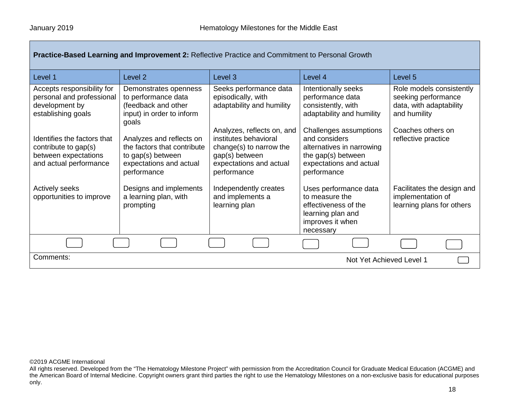| Level 1                                                                                               | Level <sub>2</sub>                                                                                                     | Level 3                                                                                                                                    | Level 4                                                                                                                              | Level 5                                                                                    |  |
|-------------------------------------------------------------------------------------------------------|------------------------------------------------------------------------------------------------------------------------|--------------------------------------------------------------------------------------------------------------------------------------------|--------------------------------------------------------------------------------------------------------------------------------------|--------------------------------------------------------------------------------------------|--|
| Accepts responsibility for<br>personal and professional<br>development by<br>establishing goals       | Demonstrates openness<br>to performance data<br>(feedback and other<br>input) in order to inform<br>goals              | Seeks performance data<br>episodically, with<br>adaptability and humility                                                                  | Intentionally seeks<br>performance data<br>consistently, with<br>adaptability and humility                                           | Role models consistently<br>seeking performance<br>data, with adaptability<br>and humility |  |
| Identifies the factors that<br>contribute to gap(s)<br>between expectations<br>and actual performance | Analyzes and reflects on<br>the factors that contribute<br>to gap(s) between<br>expectations and actual<br>performance | Analyzes, reflects on, and<br>institutes behavioral<br>change(s) to narrow the<br>gap(s) between<br>expectations and actual<br>performance | Challenges assumptions<br>and considers<br>alternatives in narrowing<br>the gap(s) between<br>expectations and actual<br>performance | Coaches others on<br>reflective practice                                                   |  |
| <b>Actively seeks</b><br>opportunities to improve                                                     | Designs and implements<br>a learning plan, with<br>prompting                                                           | Independently creates<br>and implements a<br>learning plan                                                                                 | Uses performance data<br>to measure the<br>effectiveness of the<br>learning plan and<br>improves it when<br>necessary                | Facilitates the design and<br>implementation of<br>learning plans for others               |  |
|                                                                                                       |                                                                                                                        |                                                                                                                                            |                                                                                                                                      |                                                                                            |  |
| Comments:<br>Not Yet Achieved Level 1                                                                 |                                                                                                                        |                                                                                                                                            |                                                                                                                                      |                                                                                            |  |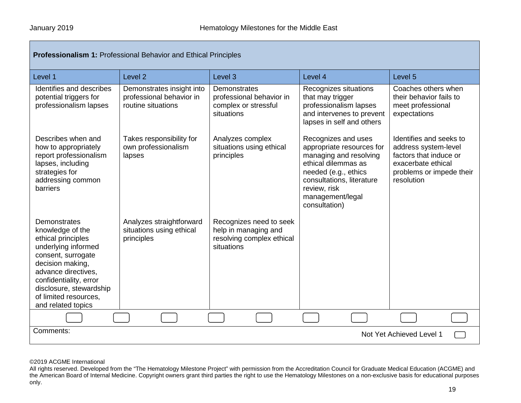| <b>Professionalism 1: Professional Behavior and Ethical Principles</b>                                                                                                                                                                             |                                                                             |                                                                                            |                                                                                                                                                                                                             |                                                                                                                                           |  |
|----------------------------------------------------------------------------------------------------------------------------------------------------------------------------------------------------------------------------------------------------|-----------------------------------------------------------------------------|--------------------------------------------------------------------------------------------|-------------------------------------------------------------------------------------------------------------------------------------------------------------------------------------------------------------|-------------------------------------------------------------------------------------------------------------------------------------------|--|
| Level 1                                                                                                                                                                                                                                            | Level <sub>2</sub>                                                          | Level 3                                                                                    | Level 4                                                                                                                                                                                                     | Level 5                                                                                                                                   |  |
| Identifies and describes<br>potential triggers for<br>professionalism lapses                                                                                                                                                                       | Demonstrates insight into<br>professional behavior in<br>routine situations | Demonstrates<br>professional behavior in<br>complex or stressful<br>situations             | Recognizes situations<br>that may trigger<br>professionalism lapses<br>and intervenes to prevent<br>lapses in self and others                                                                               | Coaches others when<br>their behavior fails to<br>meet professional<br>expectations                                                       |  |
| Describes when and<br>how to appropriately<br>report professionalism<br>lapses, including<br>strategies for<br>addressing common<br>barriers                                                                                                       | Takes responsibility for<br>own professionalism<br>lapses                   | Analyzes complex<br>situations using ethical<br>principles                                 | Recognizes and uses<br>appropriate resources for<br>managing and resolving<br>ethical dilemmas as<br>needed (e.g., ethics<br>consultations, literature<br>review, risk<br>management/legal<br>consultation) | Identifies and seeks to<br>address system-level<br>factors that induce or<br>exacerbate ethical<br>problems or impede their<br>resolution |  |
| Demonstrates<br>knowledge of the<br>ethical principles<br>underlying informed<br>consent, surrogate<br>decision making,<br>advance directives.<br>confidentiality, error<br>disclosure, stewardship<br>of limited resources,<br>and related topics | Analyzes straightforward<br>situations using ethical<br>principles          | Recognizes need to seek<br>help in managing and<br>resolving complex ethical<br>situations |                                                                                                                                                                                                             |                                                                                                                                           |  |
|                                                                                                                                                                                                                                                    |                                                                             |                                                                                            |                                                                                                                                                                                                             |                                                                                                                                           |  |
| Comments:<br>Not Yet Achieved Level 1                                                                                                                                                                                                              |                                                                             |                                                                                            |                                                                                                                                                                                                             |                                                                                                                                           |  |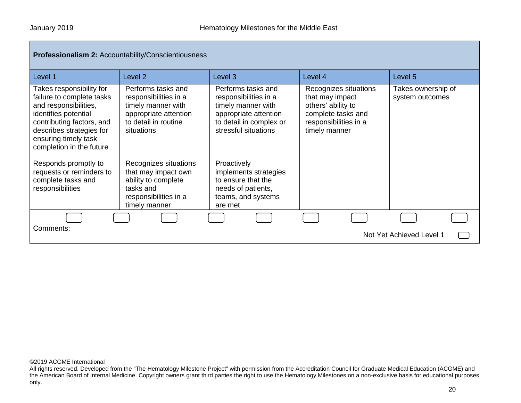### **Professionalism 2:** Accountability/Conscientiousness

| Level 1                                                                                                                                                                                                             | Level <sub>2</sub>                                                                                                               | Level <sub>3</sub>                                                                                                                            | Level 4                                                                                                                        | Level 5                               |
|---------------------------------------------------------------------------------------------------------------------------------------------------------------------------------------------------------------------|----------------------------------------------------------------------------------------------------------------------------------|-----------------------------------------------------------------------------------------------------------------------------------------------|--------------------------------------------------------------------------------------------------------------------------------|---------------------------------------|
| Takes responsibility for<br>failure to complete tasks<br>and responsibilities,<br>identifies potential<br>contributing factors, and<br>describes strategies for<br>ensuring timely task<br>completion in the future | Performs tasks and<br>responsibilities in a<br>timely manner with<br>appropriate attention<br>to detail in routine<br>situations | Performs tasks and<br>responsibilities in a<br>timely manner with<br>appropriate attention<br>to detail in complex or<br>stressful situations | Recognizes situations<br>that may impact<br>others' ability to<br>complete tasks and<br>responsibilities in a<br>timely manner | Takes ownership of<br>system outcomes |
| Responds promptly to<br>requests or reminders to<br>complete tasks and<br>responsibilities                                                                                                                          | Recognizes situations<br>that may impact own<br>ability to complete<br>tasks and<br>responsibilities in a<br>timely manner       | Proactively<br>implements strategies<br>to ensure that the<br>needs of patients,<br>teams, and systems<br>are met                             |                                                                                                                                |                                       |
|                                                                                                                                                                                                                     |                                                                                                                                  |                                                                                                                                               |                                                                                                                                |                                       |
| Comments:<br>Not Yet Achieved Level 1                                                                                                                                                                               |                                                                                                                                  |                                                                                                                                               |                                                                                                                                |                                       |

©2019 ACGME International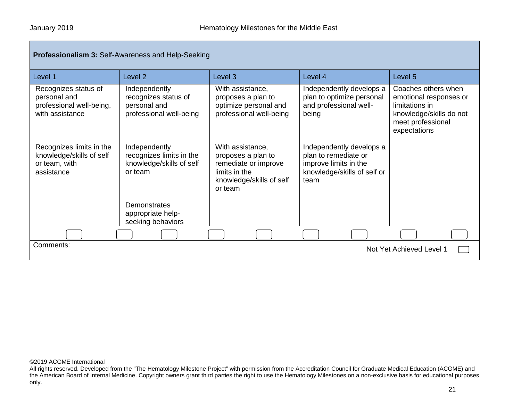| <b>Professionalism 3: Self-Awareness and Help-Seeking</b>                           |                                                                                  |                                                                                                                        |                                                                                                                  |                                                                                                                                 |  |
|-------------------------------------------------------------------------------------|----------------------------------------------------------------------------------|------------------------------------------------------------------------------------------------------------------------|------------------------------------------------------------------------------------------------------------------|---------------------------------------------------------------------------------------------------------------------------------|--|
| Level 1                                                                             | Level <sub>2</sub>                                                               | Level 3                                                                                                                | Level 4                                                                                                          | Level 5                                                                                                                         |  |
| Recognizes status of<br>personal and<br>professional well-being,<br>with assistance | Independently<br>recognizes status of<br>personal and<br>professional well-being | With assistance,<br>proposes a plan to<br>optimize personal and<br>professional well-being                             | Independently develops a<br>plan to optimize personal<br>and professional well-<br>being                         | Coaches others when<br>emotional responses or<br>limitations in<br>knowledge/skills do not<br>meet professional<br>expectations |  |
| Recognizes limits in the<br>knowledge/skills of self<br>or team, with<br>assistance | Independently<br>recognizes limits in the<br>knowledge/skills of self<br>or team | With assistance,<br>proposes a plan to<br>remediate or improve<br>limits in the<br>knowledge/skills of self<br>or team | Independently develops a<br>plan to remediate or<br>improve limits in the<br>knowledge/skills of self or<br>team |                                                                                                                                 |  |
|                                                                                     | Demonstrates<br>appropriate help-<br>seeking behaviors                           |                                                                                                                        |                                                                                                                  |                                                                                                                                 |  |
|                                                                                     |                                                                                  |                                                                                                                        |                                                                                                                  |                                                                                                                                 |  |
| Comments:<br>Not Yet Achieved Level 1                                               |                                                                                  |                                                                                                                        |                                                                                                                  |                                                                                                                                 |  |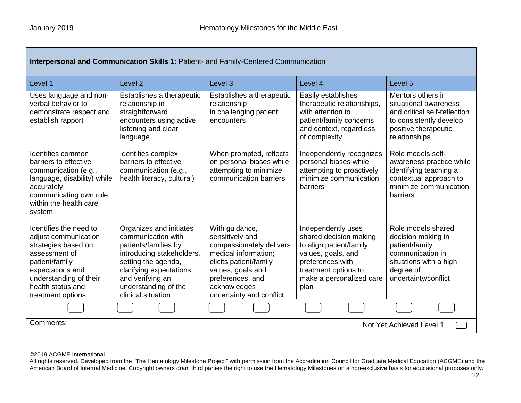| <b>Interpersonal and Communication Skills 1: Patient- and Family-Centered Communication</b>                                                                                                      |                                                                                                                                                                                                                         |                                                                                                                                                                                                      |                                                                                                                                                                               |                                                                                                                                                |  |
|--------------------------------------------------------------------------------------------------------------------------------------------------------------------------------------------------|-------------------------------------------------------------------------------------------------------------------------------------------------------------------------------------------------------------------------|------------------------------------------------------------------------------------------------------------------------------------------------------------------------------------------------------|-------------------------------------------------------------------------------------------------------------------------------------------------------------------------------|------------------------------------------------------------------------------------------------------------------------------------------------|--|
| Level 1                                                                                                                                                                                          | Level <sub>2</sub>                                                                                                                                                                                                      | Level <sub>3</sub>                                                                                                                                                                                   | Level 4                                                                                                                                                                       | Level <sub>5</sub>                                                                                                                             |  |
| Uses language and non-<br>verbal behavior to<br>demonstrate respect and<br>establish rapport                                                                                                     | Establishes a therapeutic<br>relationship in<br>straightforward<br>encounters using active<br>listening and clear<br>language                                                                                           | Establishes a therapeutic<br>relationship<br>in challenging patient<br>encounters                                                                                                                    | Easily establishes<br>therapeutic relationships,<br>with attention to<br>patient/family concerns<br>and context, regardless<br>of complexity                                  | Mentors others in<br>situational awareness<br>and critical self-reflection<br>to consistently develop<br>positive therapeutic<br>relationships |  |
| Identifies common<br>barriers to effective<br>communication (e.g.,<br>language, disability) while<br>accurately<br>communicating own role<br>within the health care<br>system                    | Identifies complex<br>barriers to effective<br>communication (e.g.,<br>health literacy, cultural)                                                                                                                       | When prompted, reflects<br>on personal biases while<br>attempting to minimize<br>communication barriers                                                                                              | Independently recognizes<br>personal biases while<br>attempting to proactively<br>minimize communication<br>barriers                                                          | Role models self-<br>awareness practice while<br>identifying teaching a<br>contextual approach to<br>minimize communication<br>barriers        |  |
| Identifies the need to<br>adjust communication<br>strategies based on<br>assessment of<br>patient/family<br>expectations and<br>understanding of their<br>health status and<br>treatment options | Organizes and initiates<br>communication with<br>patients/families by<br>introducing stakeholders,<br>setting the agenda,<br>clarifying expectations,<br>and verifying an<br>understanding of the<br>clinical situation | With guidance,<br>sensitively and<br>compassionately delivers<br>medical information;<br>elicits patient/family<br>values, goals and<br>preferences; and<br>acknowledges<br>uncertainty and conflict | Independently uses<br>shared decision making<br>to align patient/family<br>values, goals, and<br>preferences with<br>treatment options to<br>make a personalized care<br>plan | Role models shared<br>decision making in<br>patient/family<br>communication in<br>situations with a high<br>degree of<br>uncertainty/conflict  |  |
|                                                                                                                                                                                                  |                                                                                                                                                                                                                         |                                                                                                                                                                                                      |                                                                                                                                                                               |                                                                                                                                                |  |
| Comments:<br>Not Yet Achieved Level 1                                                                                                                                                            |                                                                                                                                                                                                                         |                                                                                                                                                                                                      |                                                                                                                                                                               |                                                                                                                                                |  |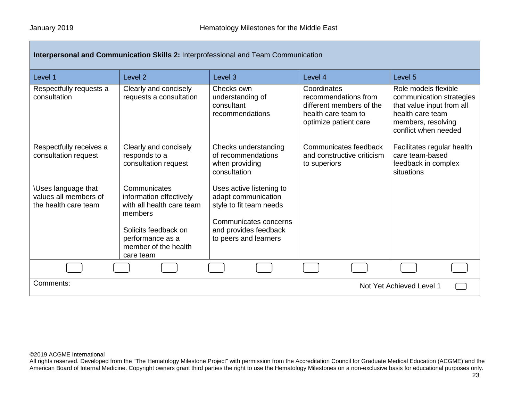| Interpersonal and Communication Skills 2: Interprofessional and Team Communication |                                                                                                                                                     |                                                                                                                                                       |                                                                                                                 |                                                                                                                                                 |  |
|------------------------------------------------------------------------------------|-----------------------------------------------------------------------------------------------------------------------------------------------------|-------------------------------------------------------------------------------------------------------------------------------------------------------|-----------------------------------------------------------------------------------------------------------------|-------------------------------------------------------------------------------------------------------------------------------------------------|--|
| Level 1                                                                            | Level <sub>2</sub>                                                                                                                                  | Level 3                                                                                                                                               | Level 4                                                                                                         | Level <sub>5</sub>                                                                                                                              |  |
| Respectfully requests a<br>consultation                                            | Clearly and concisely<br>requests a consultation                                                                                                    | Checks own<br>understanding of<br>consultant<br>recommendations                                                                                       | Coordinates<br>recommendations from<br>different members of the<br>health care team to<br>optimize patient care | Role models flexible<br>communication strategies<br>that value input from all<br>health care team<br>members, resolving<br>conflict when needed |  |
| Respectfully receives a<br>consultation request                                    | Clearly and concisely<br>responds to a<br>consultation request                                                                                      | Checks understanding<br>of recommendations<br>when providing<br>consultation                                                                          | Communicates feedback<br>and constructive criticism<br>to superiors                                             | Facilitates regular health<br>care team-based<br>feedback in complex<br>situations                                                              |  |
| <b>\Uses language that</b><br>values all members of<br>the health care team        | Communicates<br>information effectively<br>with all health care team<br>members<br>Solicits feedback on<br>performance as a<br>member of the health | Uses active listening to<br>adapt communication<br>style to fit team needs<br>Communicates concerns<br>and provides feedback<br>to peers and learners |                                                                                                                 |                                                                                                                                                 |  |
|                                                                                    | care team                                                                                                                                           |                                                                                                                                                       |                                                                                                                 |                                                                                                                                                 |  |
|                                                                                    |                                                                                                                                                     |                                                                                                                                                       |                                                                                                                 |                                                                                                                                                 |  |
| Comments:<br>Not Yet Achieved Level 1                                              |                                                                                                                                                     |                                                                                                                                                       |                                                                                                                 |                                                                                                                                                 |  |